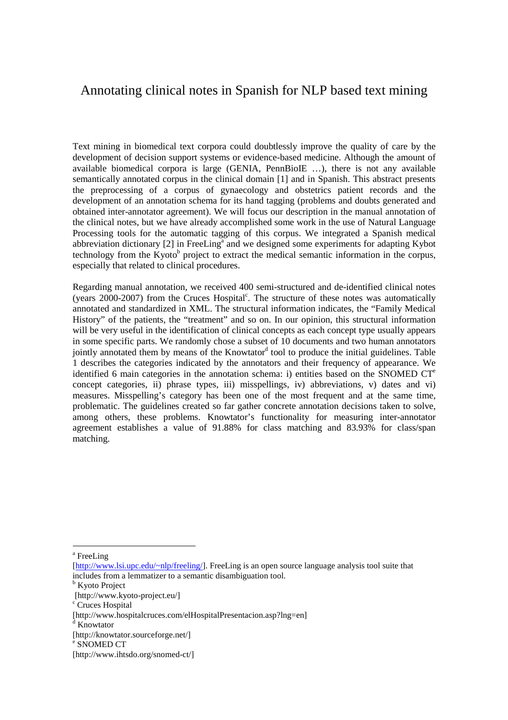## Annotating clinical notes in Spanish for NLP based text mining

Text mining in biomedical text corpora could doubtlessly improve the quality of care by the development of decision support systems or evidence-based medicine. Although the amount of available biomedical corpora is large (GENIA, PennBioIE ...), there is not any available semantically annotated corpus in the clinical domain [1] and in Spanish. This abstract presents the preprocessing of a corpus of gynaecology and obstetrics patient records and the development of an annotation schema for its hand tagging (problems and doubts generated and obtained inter-annotator agreement). We will focus our description in the manual annotation of the clinical notes, but we have already accomplished some work in the use of Natural Language Processing tools for the automatic tagging of this corpus. We integrated a Spanish medical abbreviation dictionary [2] in FreeLing<sup>a</sup> and we designed some experiments for adapting Kybot technology from the Kyoto<sup>b</sup> project to extract the medical semantic information in the corpus, especially that related to clinical procedures.

Regarding manual annotation, we received 400 semi-structured and de-identified clinical notes (years 2000-2007) from the Cruces Hospital<sup>c</sup>. The structure of these notes was automatically annotated and standardized in XML. The structural information indicates, the "Family Medical History" of the patients, the "treatment" and so on. In our opinion, this structural information will be very useful in the identification of clinical concepts as each concept type usually appears in some specific parts. We randomly chose a subset of 10 documents and two human annotators jointly annotated them by means of the Knowtator<sup>d</sup> tool to produce the initial guidelines. Table 1 describes the categories indicated by the annotators and their frequency of appearance. We identified 6 main categories in the annotation schema: i) entities based on the SNOMED  $CT^e$ concept categories, ii) phrase types, iii) misspellings, iv) abbreviations, v) dates and vi) measures. Misspelling's category has been one of the most frequent and at the same time, problematic. The guidelines created so far gather concrete annotation decisions taken to solve, among others, these problems. Knowtator's functionality for measuring inter-annotator agreement establishes a value of 91.88% for class matching and 83.93% for class/span matching.

 $\overline{a}$ 

a FreeLing

<sup>[</sup>http://www.lsi.upc.edu/~nlp/freeling/]. FreeLing is an open source language analysis tool suite that includes from a lemmatizer to a semantic disambiguation tool.

**b** Kyoto Project

 <sup>[</sup>http://www.kyoto-project.eu/]

<sup>&</sup>lt;sup>c</sup> Cruces Hospital

<sup>[</sup>http://www.hospitalcruces.com/elHospitalPresentacion.asp?lng=en]

<sup>&</sup>lt;sup>d</sup> Knowtator

<sup>[</sup>http://knowtator.sourceforge.net/]

e SNOMED CT

<sup>[</sup>http://www.ihtsdo.org/snomed-ct/]